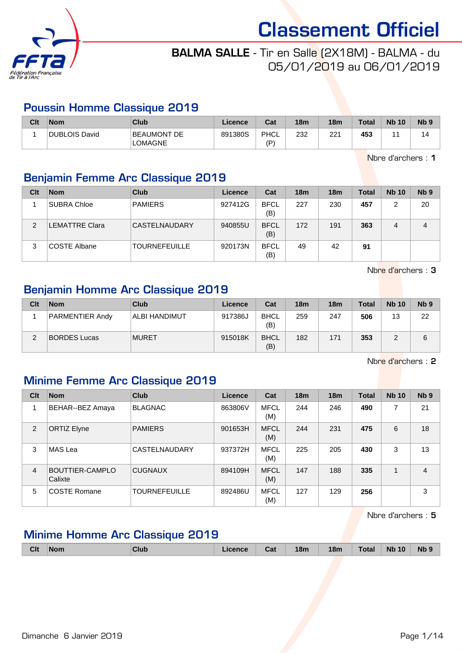

# BALMA SALLE - Tir en Salle (2X18M) - BALMA - du 05/01/2019 au 06/01/2019

#### Poussin Homme Classique 2019

| Clt | <b>Nom</b>    | <b>Club</b>                   | Licence | Cat        | 18 <sub>m</sub> | 18 <sub>m</sub> | <b>Total</b> | <b>Nb 10</b> | <b>N<sub>b</sub></b> |
|-----|---------------|-------------------------------|---------|------------|-----------------|-----------------|--------------|--------------|----------------------|
|     | DUBLOIS David | BEAUMONT DE<br><b>LOMAGNE</b> | 891380S | PHCL<br>(D | 232             | 221             | 453          |              | 14                   |

Nbre d'archers : 1

## Benjamin Femme Arc Classique 2019

| Clt | <b>Nom</b>     | Club                 | Licence | Cat                | 18 <sub>m</sub> | 18 <sub>m</sub> | <b>Total</b> | <b>Nb 10</b> | Nb <sub>9</sub> |
|-----|----------------|----------------------|---------|--------------------|-----------------|-----------------|--------------|--------------|-----------------|
|     | SUBRA Chloe    | <b>PAMIERS</b>       | 927412G | <b>BFCL</b><br>(B) | 227             | 230             | 457          | 2            | 20              |
| 2   | _EMATTRE Clara | <b>CASTELNAUDARY</b> | 940855U | <b>BFCL</b><br>(B) | 172             | 191             | 363          | 4            | 4               |
| 3   | COSTE Albane   | <b>TOURNEFEUILLE</b> | 920173N | <b>BFCL</b><br>(B) | 49              | 42              | 91           |              |                 |

Nbre d'archers : 3

#### Benjamin Homme Arc Classique 2019

| Clt | <b>Nom</b>             | Club                 | Licence | Cat                | 18 <sub>m</sub> | 18 <sub>m</sub> | <b>Total</b> | <b>Nb 10</b> | Nb <sub>9</sub> |
|-----|------------------------|----------------------|---------|--------------------|-----------------|-----------------|--------------|--------------|-----------------|
|     | <b>PARMENTIER Andy</b> | <b>ALBI HANDIMUT</b> | 917386J | <b>BHCL</b><br>(B) | 259             | 247             | 506          | 13           | 22              |
| ◠   | <b>BORDES Lucas</b>    | <b>MURET</b>         | 915018K | <b>BHCL</b><br>(B) | 182             | 171             | 353          |              |                 |

Nbre d'archers : 2

## Minime Femme Arc Classique 2019

| Clt            | <b>Nom</b>                 | <b>Club</b>          | <b>Licence</b> | Cat                | 18 <sub>m</sub> | 18 <sub>m</sub> | <b>Total</b> | <b>Nb 10</b> | N <sub>b</sub> <sub>9</sub> |
|----------------|----------------------------|----------------------|----------------|--------------------|-----------------|-----------------|--------------|--------------|-----------------------------|
|                | BEHAR--BEZ Amaya           | <b>BLAGNAC</b>       | 863806V        | <b>MFCL</b><br>(M) | 244             | 246             | 490          | 7            | 21                          |
| 2              | <b>ORTIZ Elyne</b>         | <b>PAMIERS</b>       | 901653H        | <b>MFCL</b><br>(M) | 244             | 231             | 475          | 6            | 18                          |
| 3              | MAS Lea                    | CASTELNAUDARY        | 937372H        | <b>MFCL</b><br>(M) | 225             | 205             | 430          | 3            | 13                          |
| $\overline{4}$ | BOUTTIER-CAMPLO<br>Calixte | <b>CUGNAUX</b>       | 894109H        | <b>MFCL</b><br>(M) | 147             | 188             | 335          | 1            | $\overline{4}$              |
| 5              | <b>COSTE Romane</b>        | <b>TOURNEFEUILLE</b> | 892486U        | <b>MFCL</b><br>(M) | 127             | 129             | 256          |              | 3                           |

Nbre d'archers : 5

### Minime Homme Arc Classique 2019

|  | <b>Nb</b><br><b>Nb 10</b><br><b>Clt</b><br><b>Total</b><br>18m<br>18 <sub>m</sub><br>Club<br>Licence<br>∣Nom<br>Ca⊧ |
|--|---------------------------------------------------------------------------------------------------------------------|
|--|---------------------------------------------------------------------------------------------------------------------|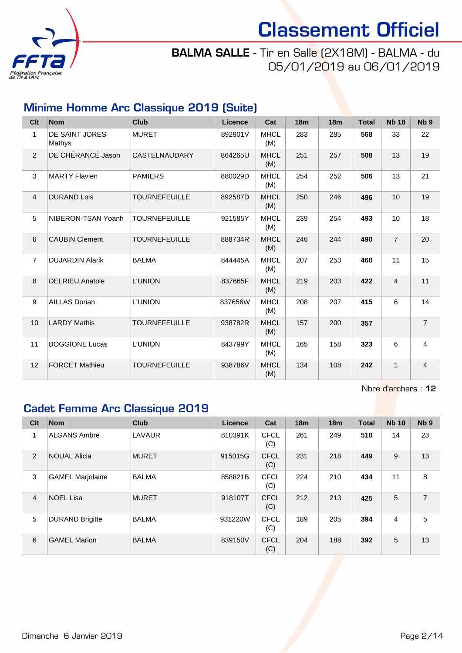

# BALMA SALLE - Tir en Salle (2X18M) - BALMA - du 05/01/2019 au 06/01/2019

# Minime Homme Arc Classique 2019 (Suite)

| Clt            | <b>Nom</b>               | <b>Club</b>          | <b>Licence</b> | Cat                | 18 <sub>m</sub> | 18 <sub>m</sub> | <b>Total</b> | <b>Nb 10</b>   | N <sub>b</sub> <sub>9</sub> |
|----------------|--------------------------|----------------------|----------------|--------------------|-----------------|-----------------|--------------|----------------|-----------------------------|
| $\mathbf{1}$   | DE SAINT JORES<br>Mathys | <b>MURET</b>         | 892901V        | <b>MHCL</b><br>(M) | 283             | 285             | 568          | 33             | 22                          |
| $\overline{2}$ | DE CHÉRANCÉ Jason        | CASTELNAUDARY        | 864265U        | <b>MHCL</b><br>(M) | 251             | 257             | 508          | 13             | 19                          |
| 3              | <b>MARTY Flavien</b>     | <b>PAMIERS</b>       | 880029D        | <b>MHCL</b><br>(M) | 254             | 252             | 506          | 13             | 21                          |
| $\overline{4}$ | <b>DURAND Lois</b>       | <b>TOURNEFEUILLE</b> | 892587D        | <b>MHCL</b><br>(M) | 250             | 246             | 496          | 10             | 19                          |
| 5              | NIBERON-TSAN Yoanh       | <b>TOURNEFEUILLE</b> | 921585Y        | <b>MHCL</b><br>(M) | 239             | 254             | 493          | 10             | 18                          |
| 6              | <b>CAUBIN Clement</b>    | <b>TOURNEFEUILLE</b> | 888734R        | <b>MHCL</b><br>(M) | 246             | 244             | 490          | $\overline{7}$ | 20                          |
| $\overline{7}$ | <b>DUJARDIN Alarik</b>   | <b>BALMA</b>         | 844445A        | <b>MHCL</b><br>(M) | 207             | 253             | 460          | 11             | 15                          |
| 8              | <b>DELRIEU Anatole</b>   | <b>L'UNION</b>       | 837665F        | <b>MHCL</b><br>(M) | 219             | 203             | 422          | $\overline{4}$ | 11                          |
| 9              | <b>AILLAS Dorian</b>     | <b>L'UNION</b>       | 837656W        | <b>MHCL</b><br>(M) | 208             | 207             | 415          | 6              | 14                          |
| 10             | <b>LARDY Mathis</b>      | <b>TOURNEFEUILLE</b> | 938782R        | <b>MHCL</b><br>(M) | 157             | 200             | 357          |                | $\overline{7}$              |
| 11             | <b>BOGGIONE Lucas</b>    | L'UNION              | 843799Y        | <b>MHCL</b><br>(M) | 165             | 158             | 323          | 6              | $\overline{4}$              |
| 12             | <b>FORCET Mathieu</b>    | <b>TOURNEFEUILLE</b> | 938786V        | <b>MHCL</b><br>(M) | 134             | 108             | 242          | $\mathbf{1}$   | $\overline{4}$              |

Nbre d'archers : 12

# Cadet Femme Arc Classique 2019

| Clt            | <b>Nom</b>              | <b>Club</b>  | Licence | Cat                | 18 <sub>m</sub> | 18 <sub>m</sub> | <b>Total</b> | <b>Nb 10</b> | Nb <sub>9</sub> |
|----------------|-------------------------|--------------|---------|--------------------|-----------------|-----------------|--------------|--------------|-----------------|
| 1              | <b>ALGANS Ambre</b>     | LAVAUR       | 810391K | <b>CFCL</b><br>(C) | 261             | 249             | 510          | 14           | 23              |
| $\overline{2}$ | <b>NOUAL Alicia</b>     | <b>MURET</b> | 915015G | <b>CFCL</b><br>(C) | 231             | 218             | 449          | 9            | 13              |
| 3              | <b>GAMEL Marjolaine</b> | <b>BALMA</b> | 858821B | <b>CFCL</b><br>(C) | 224             | 210             | 434          | 11           | 8               |
| $\overline{4}$ | <b>NOEL Lisa</b>        | <b>MURET</b> | 918107T | <b>CFCL</b><br>(C) | 212             | 213             | 425          | 5            | $\overline{7}$  |
| 5              | <b>DURAND Brigitte</b>  | <b>BALMA</b> | 931220W | <b>CFCL</b><br>(C) | 189             | 205             | 394          | 4            | 5               |
| 6              | <b>GAMEL Marion</b>     | <b>BALMA</b> | 839150V | <b>CFCL</b><br>(C) | 204             | 188             | 392          | 5            | 13              |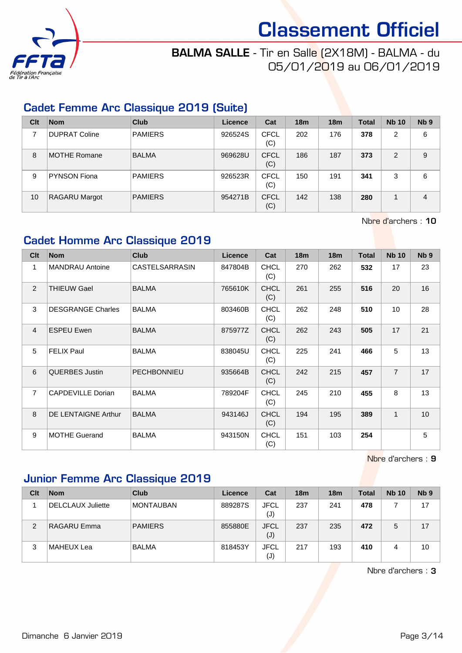

# BALMA SALLE - Tir en Salle (2X18M) - BALMA - du 05/01/2019 au 06/01/2019

#### Cadet Femme Arc Classique 2019 (Suite)

| Clt | <b>Nom</b>           | Club           | Licence | Cat                | 18 <sub>m</sub> | 18 <sub>m</sub> | Total | <b>Nb 10</b>   | N <sub>b</sub> <sub>9</sub> |
|-----|----------------------|----------------|---------|--------------------|-----------------|-----------------|-------|----------------|-----------------------------|
|     | <b>DUPRAT Coline</b> | <b>PAMIERS</b> | 926524S | CFCL<br>(C)        | 202             | 176             | 378   | $\overline{2}$ | 6                           |
| 8   | <b>MOTHE Romane</b>  | <b>BALMA</b>   | 969628U | <b>CFCL</b><br>(C) | 186             | 187             | 373   | 2              | 9                           |
| 9   | <b>PYNSON Fiona</b>  | PAMIERS        | 926523R | <b>CFCL</b><br>(C) | 150             | 191             | 341   | 3              | 6                           |
| 10  | <b>RAGARU Margot</b> | PAMIERS        | 954271B | <b>CFCL</b><br>(C) | 142             | 138             | 280   |                | 4                           |

Nbre d'archers : 10

#### Cadet Homme Arc Classique 2019

| Clt            | <b>Nom</b>               | <b>Club</b>           | Licence | Cat                | 18m | 18 <sub>m</sub> | <b>Total</b> | <b>Nb 10</b>   | N <sub>b</sub> <sub>9</sub> |
|----------------|--------------------------|-----------------------|---------|--------------------|-----|-----------------|--------------|----------------|-----------------------------|
| $\mathbf{1}$   | <b>MANDRAU Antoine</b>   | <b>CASTELSARRASIN</b> | 847804B | <b>CHCL</b><br>(C) | 270 | 262             | 532          | 17             | 23                          |
| 2              | <b>THIEUW Gael</b>       | <b>BALMA</b>          | 765610K | <b>CHCL</b><br>(C) | 261 | 255             | 516          | 20             | 16                          |
| 3              | <b>DESGRANGE Charles</b> | <b>BALMA</b>          | 803460B | <b>CHCL</b><br>(C) | 262 | 248             | 510          | 10             | 28                          |
| $\overline{4}$ | <b>ESPEU Ewen</b>        | <b>BALMA</b>          | 875977Z | <b>CHCL</b><br>(C) | 262 | 243             | 505          | 17             | 21                          |
| 5              | <b>FELIX Paul</b>        | <b>BALMA</b>          | 838045U | <b>CHCL</b><br>(C) | 225 | 241             | 466          | 5              | 13                          |
| 6              | <b>QUERBES Justin</b>    | <b>PECHBONNIEU</b>    | 935664B | <b>CHCL</b><br>(C) | 242 | 215             | 457          | $\overline{7}$ | 17                          |
| $\overline{7}$ | CAPDEVILLE Dorian        | <b>BALMA</b>          | 789204F | <b>CHCL</b><br>(C) | 245 | 210             | 455          | 8              | 13                          |
| 8              | DE LENTAIGNE Arthur      | <b>BALMA</b>          | 943146J | <b>CHCL</b><br>(C) | 194 | 195             | 389          | $\mathbf{1}$   | 10 <sup>°</sup>             |
| 9              | <b>MOTHE Guerand</b>     | <b>BALMA</b>          | 943150N | <b>CHCL</b><br>(C) | 151 | 103             | 254          |                | 5                           |

Nbre d'archers : 9

### Junior Femme Arc Classique 2019

| Clt | <b>Nom</b>               | Club             | Licence | Cat                           | 18 <sub>m</sub> | 18 <sub>m</sub> | Total | <b>Nb 10</b> | N <sub>b</sub> <sub>9</sub> |
|-----|--------------------------|------------------|---------|-------------------------------|-----------------|-----------------|-------|--------------|-----------------------------|
|     | <b>DELCLAUX Juliette</b> | <b>MONTAUBAN</b> | 889287S | <b>JFCL</b><br>$(\mathsf{J})$ | 237             | 241             | 478   |              | 17                          |
| 2   | RAGARU Emma              | <b>PAMIERS</b>   | 855880E | <b>JFCL</b><br>(J)            | 237             | 235             | 472   | 5            | 17                          |
| 3   | MAHEUX Lea               | <b>BALMA</b>     | 818453Y | <b>JFCL</b><br>$(\mathsf{J})$ | 217             | 193             | 410   | 4            | 10                          |

Nbre d'archers : 3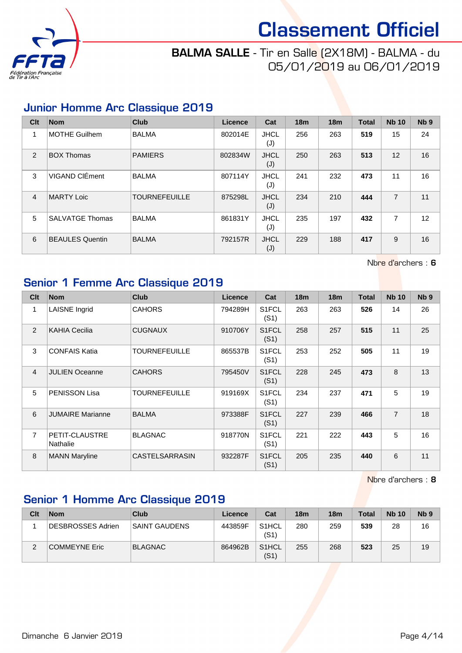

## BALMA SALLE - Tir en Salle (2X18M) - BALMA - du 05/01/2019 au 06/01/2019

#### Junior Homme Arc Classique 2019

| Clt            | <b>Nom</b>             | <b>Club</b>          | <b>Licence</b> | Cat                | 18 <sub>m</sub> | 18 <sub>m</sub> | <b>Total</b> | <b>Nb 10</b>   | N <sub>b</sub> <sub>9</sub> |
|----------------|------------------------|----------------------|----------------|--------------------|-----------------|-----------------|--------------|----------------|-----------------------------|
| 1              | MOTHE Guilhem          | <b>BALMA</b>         | 802014E        | <b>JHCL</b><br>(J) | 256             | 263             | 519          | 15             | 24                          |
| 2              | <b>BOX Thomas</b>      | <b>PAMIERS</b>       | 802834W        | <b>JHCL</b><br>(J) | 250             | 263             | 513          | 12             | 16                          |
| 3              | VIGAND CIÉment         | <b>BALMA</b>         | 807114Y        | <b>JHCL</b><br>(J) | 241             | 232             | 473          | 11             | 16                          |
| $\overline{4}$ | <b>MARTY Loic</b>      | <b>TOURNEFEUILLE</b> | 875298L        | <b>JHCL</b><br>(J) | 234             | 210             | 444          | $\overline{7}$ | 11                          |
| 5              | <b>SALVATGE Thomas</b> | <b>BALMA</b>         | 861831Y        | <b>JHCL</b><br>(J) | 235             | 197             | 432          | 7              | 12                          |
| 6              | BEAULES Quentin        | <b>BALMA</b>         | 792157R        | <b>JHCL</b><br>(J) | 229             | 188             | 417          | 9              | 16                          |

Nbre d'archers : 6

#### Senior 1 Femme Arc Classique 2019

| Clt            | <b>Nom</b>                 | <b>Club</b>          | <b>Licence</b> | Cat                        | 18 <sub>m</sub> | 18 <sub>m</sub> | <b>Total</b> | <b>Nb 10</b>   | N <sub>b</sub> <sub>9</sub> |
|----------------|----------------------------|----------------------|----------------|----------------------------|-----------------|-----------------|--------------|----------------|-----------------------------|
| 1              | <b>LAISNE</b> Ingrid       | <b>CAHORS</b>        | 794289H        | S <sub>1</sub> FCL<br>(S1) | 263             | 263             | 526          | 14             | 26                          |
| 2              | <b>KAHIA Cecilia</b>       | <b>CUGNAUX</b>       | 910706Y        | S <sub>1</sub> FCL<br>(S1) | 258             | 257             | 515          | 11             | 25                          |
| 3              | <b>CONFAIS Katia</b>       | <b>TOURNEFEUILLE</b> | 865537B        | S <sub>1</sub> FCL<br>(S1) | 253             | 252             | 505          | 11             | 19                          |
| $\overline{4}$ | <b>JULIEN Oceanne</b>      | <b>CAHORS</b>        | 795450V        | S <sub>1</sub> FCL<br>(S1) | 228             | 245             | 473          | 8              | 13                          |
| 5              | <b>PENISSON Lisa</b>       | <b>TOURNEFEUILLE</b> | 919169X        | S1FCL<br>(S1)              | 234             | 237             | 471          | 5              | 19                          |
| 6              | <b>JUMAIRE Marianne</b>    | <b>BALMA</b>         | 973388F        | S <sub>1</sub> FCL<br>(S1) | 227             | 239             | 466          | $\overline{7}$ | 18                          |
| $\overline{7}$ | PETIT-CLAUSTRE<br>Nathalie | <b>BLAGNAC</b>       | 918770N        | S <sub>1</sub> FCL<br>(S1) | 221             | 222             | 443          | 5              | 16                          |
| 8              | <b>MANN Maryline</b>       | CASTELSARRASIN       | 932287F        | S <sub>1</sub> FCL<br>(S1) | 205             | 235             | 440          | 6              | 11                          |

Nbre d'archers : 8

### Senior 1 Homme Arc Classique 2019

| Clt    | <b>Nom</b>        | Club           | Licence | Cat                        | <b>18m</b> | 18 <sub>m</sub> | <b>Total</b> | <b>Nb 10</b> | Nb <sub>9</sub> |
|--------|-------------------|----------------|---------|----------------------------|------------|-----------------|--------------|--------------|-----------------|
|        | DESBROSSES Adrien | SAINT GAUDENS  | 443859F | S <sub>1</sub> HCL<br>(S1) | 280        | 259             | 539          | 28           | 16              |
| ⌒<br>∠ | COMMEYNE Eric     | <b>BLAGNAC</b> | 864962B | S <sub>1</sub> HCL<br>(S1) | 255        | 268             | 523          | 25           | 19              |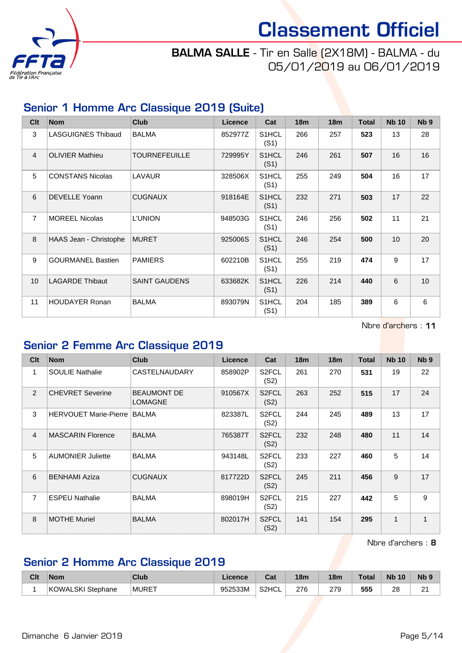

# BALMA SALLE - Tir en Salle (2X18M) - BALMA - du 05/01/2019 au 06/01/2019

#### Senior 1 Homme Arc Classique 2019 (Suite)

| Clt            | <b>Nom</b>                | <b>Club</b>          | <b>Licence</b> | Cat                        | 18m | 18m | <b>Total</b> | <b>Nb 10</b>    | N <sub>b</sub> <sub>9</sub> |
|----------------|---------------------------|----------------------|----------------|----------------------------|-----|-----|--------------|-----------------|-----------------------------|
| 3              | <b>LASGUIGNES Thibaud</b> | <b>BALMA</b>         | 852977Z        | S1HCL<br>(S1)              | 266 | 257 | 523          | 13              | 28                          |
| $\overline{4}$ | <b>OLIVIER Mathieu</b>    | <b>TOURNEFEUILLE</b> | 729995Y        | S1HCL<br>(S1)              | 246 | 261 | 507          | 16              | 16                          |
| 5              | <b>CONSTANS Nicolas</b>   | LAVAUR               | 328506X        | S1HCL<br>(S1)              | 255 | 249 | 504          | 16              | 17                          |
| 6              | <b>DEVELLE Yoann</b>      | <b>CUGNAUX</b>       | 918164E        | S1HCL<br>(S1)              | 232 | 271 | 503          | 17              | 22                          |
| $\overline{7}$ | <b>MOREEL Nicolas</b>     | <b>L'UNION</b>       | 948503G        | S1HCL<br>(S1)              | 246 | 256 | 502          | 11              | 21                          |
| 8              | HAAS Jean - Christophe    | <b>MURET</b>         | 925006S        | S1HCL<br>(S1)              | 246 | 254 | 500          | 10 <sup>1</sup> | 20                          |
| 9              | <b>GOURMANEL Bastien</b>  | <b>PAMIERS</b>       | 602210B        | S1HCL<br>(S1)              | 255 | 219 | 474          | 9               | 17                          |
| 10             | <b>LAGARDE Thibaut</b>    | <b>SAINT GAUDENS</b> | 633682K        | S1HCL<br>(S1)              | 226 | 214 | 440          | 6               | 10                          |
| 11             | <b>HOUDAYER Ronan</b>     | <b>BALMA</b>         | 893079N        | S <sub>1</sub> HCL<br>(S1) | 204 | 185 | 389          | 6               | 6                           |

Nbre d'archers : 11

#### Senior 2 Femme Arc Classique 2019

| Clt | <b>Nom</b>                   | <b>Club</b>                          | <b>Licence</b> | Cat                        | 18 <sub>m</sub> | 18 <sub>m</sub> | <b>Total</b> | <b>Nb 10</b> | N <sub>b</sub> <sub>9</sub> |
|-----|------------------------------|--------------------------------------|----------------|----------------------------|-----------------|-----------------|--------------|--------------|-----------------------------|
| 1   | <b>SOULIE Nathalie</b>       | <b>CASTELNAUDARY</b>                 | 858902P        | S <sub>2</sub> FCL<br>(S2) | 261             | 270             | 531          | 19           | 22                          |
| 2   | <b>CHEVRET Severine</b>      | <b>BEAUMONT DE</b><br><b>LOMAGNE</b> | 910567X        | S <sub>2</sub> FCL<br>(S2) | 263             | 252             | 515          | 17           | 24                          |
| 3   | <b>HERVOUET Marie-Pierre</b> | <b>BALMA</b>                         | 823387L        | S <sub>2</sub> FCL<br>(S2) | 244             | 245             | 489          | 13           | 17                          |
| 4   | <b>MASCARIN Florence</b>     | <b>BALMA</b>                         | 765387T        | S <sub>2</sub> FCL<br>(S2) | 232             | 248             | 480          | 11           | 14                          |
| 5   | <b>AUMONIER Juliette</b>     | <b>BALMA</b>                         | 943148L        | S <sub>2</sub> FCL<br>(S2) | 233             | 227             | 460          | 5            | 14                          |
| 6   | <b>BENHAMI Aziza</b>         | <b>CUGNAUX</b>                       | 817722D        | S <sub>2</sub> FCL<br>(S2) | 245             | 211             | 456          | 9            | 17                          |
| 7   | <b>ESPEU Nathalie</b>        | <b>BALMA</b>                         | 898019H        | S <sub>2</sub> FCL<br>(S2) | 215             | 227             | 442          | 5            | 9                           |
| 8   | <b>MOTHE Muriel</b>          | <b>BALMA</b>                         | 802017H        | S <sub>2</sub> FCL<br>(S2) | 141             | 154             | 295          | 1            | 1                           |

Nbre d'archers : 8

# Senior 2 Homme Arc Classique 2019

| Cit | <b>Nom</b>           | Club         | <b>Licence</b> | $R_{\rm{eff}}$<br>ual | 18m | 18m | Total | <b>Nb</b><br>10 | Nb 9        |
|-----|----------------------|--------------|----------------|-----------------------|-----|-----|-------|-----------------|-------------|
|     | KOWALSKI<br>Stephane | <b>MURET</b> | 952533M        | S2HCL                 | 276 | 279 | 555   | 28              | $\sim$<br>∠ |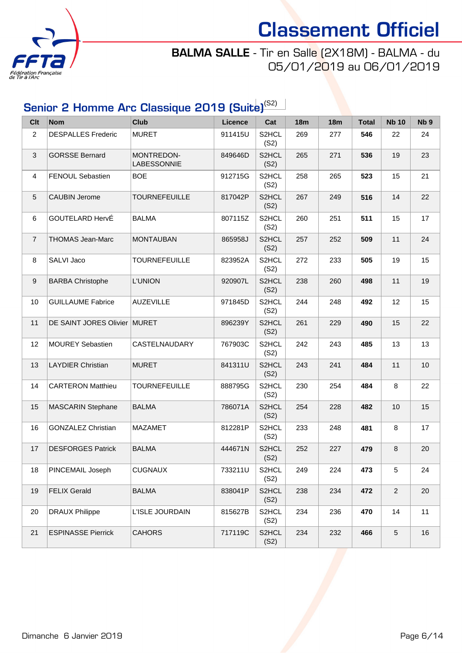

# BALMA SALLE - Tir en Salle (2X18M) - BALMA - du 05/01/2019 au 06/01/2019

# Senior 2 Homme Arc Classique 2019 (Suite)<sup>(S2)</sup>

| <b>Clt</b>       | <b>Nom</b>                | <b>Club</b>               | <b>Licence</b> | Cat           | <b>18m</b> | <b>18m</b> | <b>Total</b> | <b>Nb 10</b>   | Nb <sub>9</sub> |
|------------------|---------------------------|---------------------------|----------------|---------------|------------|------------|--------------|----------------|-----------------|
| 2                | <b>DESPALLES Frederic</b> | <b>MURET</b>              | 911415U        | S2HCL<br>(S2) | 269        | 277        | 546          | 22             | 24              |
| 3                | <b>GORSSE Bernard</b>     | MONTREDON-<br>LABESSONNIE | 849646D        | S2HCL<br>(S2) | 265        | 271        | 536          | 19             | 23              |
| 4                | FENOUL Sebastien          | <b>BOE</b>                | 912715G        | S2HCL<br>(S2) | 258        | 265        | 523          | 15             | 21              |
| $\sqrt{5}$       | <b>CAUBIN Jerome</b>      | <b>TOURNEFEUILLE</b>      | 817042P        | S2HCL<br>(S2) | 267        | 249        | 516          | 14             | 22              |
| 6                | GOUTELARD HervÉ           | <b>BALMA</b>              | 807115Z        | S2HCL<br>(S2) | 260        | 251        | 511          | 15             | 17              |
| $\overline{7}$   | <b>THOMAS Jean-Marc</b>   | <b>MONTAUBAN</b>          | 865958J        | S2HCL<br>(S2) | 257        | 252        | 509          | 11             | 24              |
| 8                | SALVI Jaco                | <b>TOURNEFEUILLE</b>      | 823952A        | S2HCL<br>(S2) | 272        | 233        | 505          | 19             | 15              |
| $\boldsymbol{9}$ | <b>BARBA Christophe</b>   | <b>L'UNION</b>            | 920907L        | S2HCL<br>(S2) | 238        | 260        | 498          | 11             | 19              |
| 10               | <b>GUILLAUME Fabrice</b>  | <b>AUZEVILLE</b>          | 971845D        | S2HCL<br>(S2) | 244        | 248        | 492          | 12             | 15              |
| 11               | DE SAINT JORES Olivier    | MURET                     | 896239Y        | S2HCL<br>(S2) | 261        | 229        | 490          | 15             | 22              |
| 12               | <b>MOUREY Sebastien</b>   | CASTELNAUDARY             | 767903C        | S2HCL<br>(S2) | 242        | 243        | 485          | 13             | 13              |
| 13               | <b>LAYDIER Christian</b>  | <b>MURET</b>              | 841311U        | S2HCL<br>(S2) | 243        | 241        | 484          | 11             | 10              |
| 14               | <b>CARTERON Matthieu</b>  | <b>TOURNEFEUILLE</b>      | 888795G        | S2HCL<br>(S2) | 230        | 254        | 484          | 8              | 22              |
| 15               | MASCARIN Stephane         | <b>BALMA</b>              | 786071A        | S2HCL<br>(S2) | 254        | 228        | 482          | 10             | 15              |
| 16               | <b>GONZALEZ Christian</b> | <b>MAZAMET</b>            | 812281P        | S2HCL<br>(S2) | 233        | 248        | 481          | 8              | 17              |
| 17               | <b>DESFORGES Patrick</b>  | <b>BALMA</b>              | 444671N        | S2HCL<br>(S2) | 252        | 227        | 479          | 8              | 20              |
| 18               | PINCEMAIL Joseph          | <b>CUGNAUX</b>            | 733211U        | S2HCL<br>(S2) | 249        | 224        | 473          | 5              | 24              |
| 19               | <b>FELIX Gerald</b>       | <b>BALMA</b>              | 838041P        | S2HCL<br>(S2) | 238        | 234        | 472          | $\overline{2}$ | 20              |
| 20               | <b>DRAUX Philippe</b>     | L'ISLE JOURDAIN           | 815627B        | S2HCL<br>(S2) | 234        | 236        | 470          | 14             | 11              |
| 21               | <b>ESPINASSE Pierrick</b> | <b>CAHORS</b>             | 717119C        | S2HCL<br>(S2) | 234        | 232        | 466          | $\sqrt{5}$     | 16              |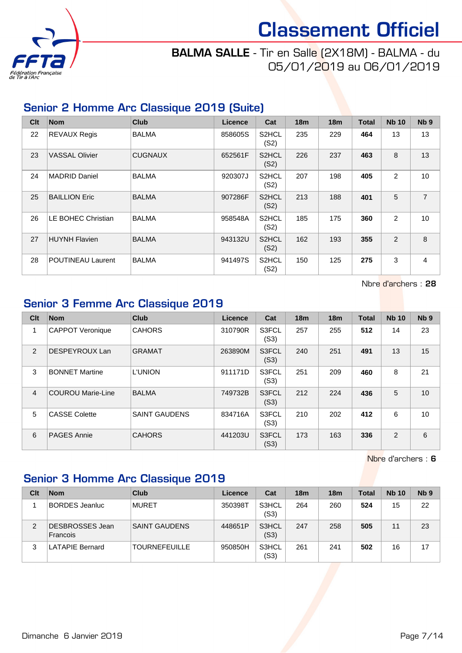

# BALMA SALLE - Tir en Salle (2X18M) - BALMA - du 05/01/2019 au 06/01/2019

#### Senior 2 Homme Arc Classique 2019 (Suite)

| Clt | <b>Nom</b>               | <b>Club</b>    | Licence | Cat                        | 18 <sub>m</sub> | 18 <sub>m</sub> | <b>Total</b> | <b>Nb 10</b> | N <sub>b</sub> <sub>9</sub> |
|-----|--------------------------|----------------|---------|----------------------------|-----------------|-----------------|--------------|--------------|-----------------------------|
| 22  | <b>REVAUX Regis</b>      | <b>BALMA</b>   | 858605S | S <sub>2</sub> HCL<br>(S2) | 235             | 229             | 464          | 13           | 13                          |
| 23  | <b>VASSAL Olivier</b>    | <b>CUGNAUX</b> | 652561F | S <sub>2</sub> HCL<br>(S2) | 226             | 237             | 463          | 8            | 13                          |
| 24  | <b>MADRID Daniel</b>     | <b>BALMA</b>   | 920307J | S <sub>2</sub> HCL<br>(S2) | 207             | 198             | 405          | 2            | 10                          |
| 25  | <b>BAILLION Eric</b>     | <b>BALMA</b>   | 907286F | S <sub>2</sub> HCL<br>(S2) | 213             | 188             | 401          | 5            | $\overline{7}$              |
| 26  | LE BOHEC Christian       | <b>BALMA</b>   | 958548A | S <sub>2</sub> HCL<br>(S2) | 185             | 175             | 360          | 2            | 10                          |
| 27  | <b>HUYNH Flavien</b>     | <b>BALMA</b>   | 943132U | S <sub>2</sub> HCL<br>(S2) | 162             | 193             | 355          | 2            | 8                           |
| 28  | <b>POUTINEAU Laurent</b> | <b>BALMA</b>   | 941497S | S <sub>2</sub> HCL<br>(S2) | 150             | 125             | 275          | 3            | 4                           |

Nbre d'archers : 28

#### Senior 3 Femme Arc Classique 2019

| Clt            | <b>Nom</b>               | <b>Club</b>          | Licence | Cat           | 18 <sub>m</sub> | 18 <sub>m</sub> | <b>Total</b> | <b>Nb 10</b> | Nb <sub>9</sub> |
|----------------|--------------------------|----------------------|---------|---------------|-----------------|-----------------|--------------|--------------|-----------------|
| 1              | <b>CAPPOT Veronique</b>  | <b>CAHORS</b>        | 310790R | S3FCL<br>(S3) | 257             | 255             | 512          | 14           | 23              |
| 2              | DESPEYROUX Lan           | <b>GRAMAT</b>        | 263890M | S3FCL<br>(S3) | 240             | 251             | 491          | 13           | 15              |
| 3              | <b>BONNET Martine</b>    | <b>L'UNION</b>       | 911171D | S3FCL<br>(S3) | 251             | 209             | 460          | 8            | 21              |
| $\overline{4}$ | <b>COUROU Marie-Line</b> | <b>BALMA</b>         | 749732B | S3FCL<br>(S3) | 212             | 224             | 436          | 5            | 10              |
| 5              | <b>CASSE Colette</b>     | <b>SAINT GAUDENS</b> | 834716A | S3FCL<br>(S3) | 210             | 202             | 412          | 6            | 10              |
| 6              | <b>PAGES Annie</b>       | <b>CAHORS</b>        | 441203U | S3FCL<br>(S3) | 173             | 163             | 336          | 2            | 6               |

Nbre d'archers : 6

### Senior 3 Homme Arc Classique 2019

| Clt | <b>Nom</b>                  | Club                 | Licence | Cat           | 18 <sub>m</sub> | 18 <sub>m</sub> | <b>Total</b> | <b>Nb 10</b> | Nb <sub>9</sub> |
|-----|-----------------------------|----------------------|---------|---------------|-----------------|-----------------|--------------|--------------|-----------------|
|     | <b>BORDES</b> Jeanluc       | <b>MURET</b>         | 350398T | S3HCL<br>(S3) | 264             | 260             | 524          | 15           | 22              |
| 2   | DESBROSSES Jean<br>Francois | <b>SAINT GAUDENS</b> | 448651P | S3HCL<br>(S3) | 247             | 258             | 505          | 11           | 23              |
| 3   | <b>LATAPIE Bernard</b>      | <b>TOURNEFEUILLE</b> | 950850H | S3HCL<br>(S3) | 261             | 241             | 502          | 16           | 17              |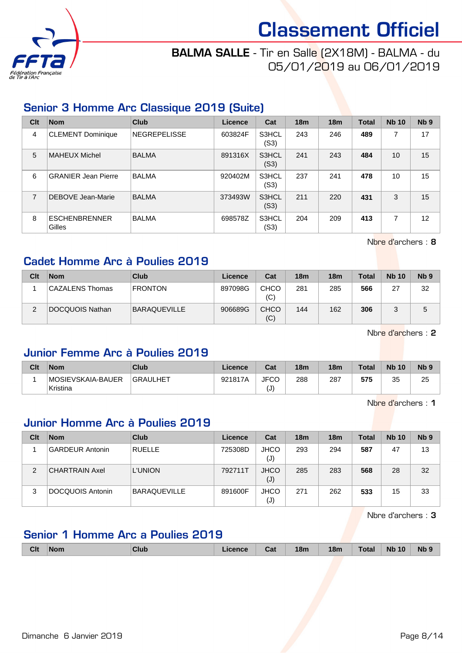

## BALMA SALLE - Tir en Salle (2X18M) - BALMA - du 05/01/2019 au 06/01/2019

### Senior 3 Homme Arc Classique 2019 (Suite)

| Clt | <b>Nom</b>                     | <b>Club</b>  | Licence | Cat           | 18 <sub>m</sub> | 18 <sub>m</sub> | <b>Total</b> | <b>Nb 10</b> | Nb <sub>9</sub> |
|-----|--------------------------------|--------------|---------|---------------|-----------------|-----------------|--------------|--------------|-----------------|
| 4   | <b>CLEMENT Dominique</b>       | NEGREPELISSE | 603824F | S3HCL<br>(S3) | 243             | 246             | 489          | 7            | 17              |
| 5   | <b>MAHEUX Michel</b>           | <b>BALMA</b> | 891316X | S3HCL<br>(S3) | 241             | 243             | 484          | 10           | 15              |
| 6   | <b>GRANIER Jean Pierre</b>     | <b>BALMA</b> | 920402M | S3HCL<br>(S3) | 237             | 241             | 478          | 10           | 15              |
| 7   | DEBOVE Jean-Marie              | <b>BALMA</b> | 373493W | S3HCL<br>(S3) | 211             | 220             | 431          | 3            | 15              |
| 8   | <b>ESCHENBRENNER</b><br>Gilles | <b>BALMA</b> | 698578Z | S3HCL<br>(S3) | 204             | 209             | 413          | ⇁            | 12              |

Nbre d'archers : 8

### Cadet Homme Arc à Poulies 2019

| Clt | <b>Nom</b>             | Club                | Licence | Cat                | <b>18m</b> | 18 <sub>m</sub> | <b>Total</b> | <b>Nb 10</b> | Nb <sub>9</sub> |
|-----|------------------------|---------------------|---------|--------------------|------------|-----------------|--------------|--------------|-----------------|
|     | <b>CAZALENS Thomas</b> | <b>FRONTON</b>      | 897098G | <b>CHCO</b><br>(C) | 281        | 285             | 566          | 27           | 32              |
| ົ   | DOCQUOIS Nathan        | <b>BARAQUEVILLE</b> | 906689G | <b>CHCO</b><br>(C) | 144        | 162             | 306          |              | 5               |

Nbre d'archers : 2

#### Junior Femme Arc à Poulies 2019

| Clt | <b>Nom</b>                    | Club            | Licence | Cat                              | 18 <sub>m</sub> | 18m | <b>Total</b> | <b>Nb 10</b> | N <sub>b</sub> <sub>9</sub> |
|-----|-------------------------------|-----------------|---------|----------------------------------|-----------------|-----|--------------|--------------|-----------------------------|
|     | MOSIEVSKAIA-BAUER<br>Kristina | <b>GRAULHET</b> | 921817A | <b>JFCC</b><br>$\left(  \right)$ | 288             | 287 | 575          | つよ<br>ື      | 25                          |

Nbre d'archers : 1

# Junior Homme Arc à Poulies 2019

| Clt            | <b>Nom</b>             | Club                | Licence | Cat                           | 18 <sub>m</sub> | 18 <sub>m</sub> | Total | <b>Nb 10</b> | N <sub>b</sub> <sub>9</sub> |
|----------------|------------------------|---------------------|---------|-------------------------------|-----------------|-----------------|-------|--------------|-----------------------------|
|                | <b>GARDEUR Antonin</b> | <b>RUELLE</b>       | 725308D | <b>JHCO</b><br>(J)            | 293             | 294             | 587   | 47           | 13                          |
| $\overline{2}$ | <b>CHARTRAIN Axel</b>  | <b>L'UNION</b>      | 792711T | <b>JHCO</b><br>$(\mathsf{J})$ | 285             | 283             | 568   | 28           | 32                          |
| 3              | DOCQUOIS Antonin       | <b>BARAQUEVILLE</b> | 891600F | <b>JHCO</b><br>(J)            | 271             | 262             | 533   | 15           | 33                          |

Nbre d'archers : 3

# Senior 1 Homme Arc a Poulies 2019

|  | <b>18m</b><br><b>Nb</b><br><b>Clt</b><br><b>N<sub>b</sub></b><br>18 <sub>m</sub><br>10 <sup>°</sup><br>Total<br>Club<br>icence<br>∣Nom<br>Cal |  |
|--|-----------------------------------------------------------------------------------------------------------------------------------------------|--|
|--|-----------------------------------------------------------------------------------------------------------------------------------------------|--|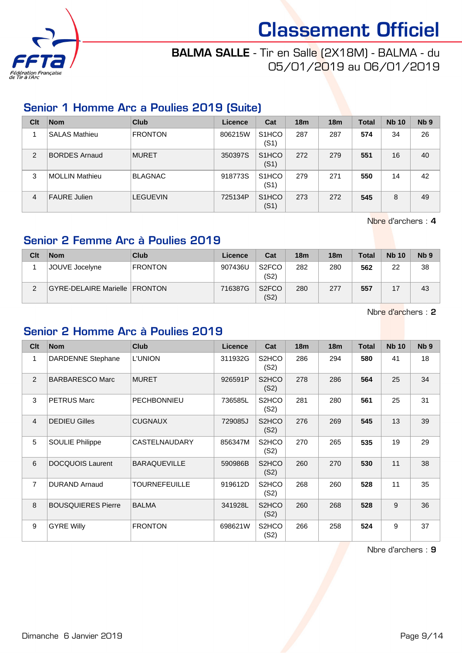

## BALMA SALLE - Tir en Salle (2X18M) - BALMA - du 05/01/2019 au 06/01/2019

#### Senior 1 Homme Arc a Poulies 2019 (Suite)

| Clt            | <b>Nom</b>           | <b>Club</b>     | Licence | Cat                        | 18 <sub>m</sub> | 18 <sub>m</sub> | <b>Total</b> | <b>Nb 10</b> | Nb <sub>9</sub> |
|----------------|----------------------|-----------------|---------|----------------------------|-----------------|-----------------|--------------|--------------|-----------------|
|                | <b>SALAS Mathieu</b> | <b>FRONTON</b>  | 806215W | S <sub>1</sub> HCO<br>(S1) | 287             | 287             | 574          | 34           | 26              |
| $\overline{2}$ | <b>BORDES Arnaud</b> | <b>MURET</b>    | 350397S | S <sub>1</sub> HCO<br>(S1) | 272             | 279             | 551          | 16           | 40              |
| 3              | MOLLIN Mathieu       | <b>BLAGNAC</b>  | 918773S | S <sub>1</sub> HCO<br>(S1) | 279             | 271             | 550          | 14           | 42              |
| 4              | <b>FAURE Julien</b>  | <b>LEGUEVIN</b> | 725134P | S <sub>1</sub> HCO<br>(S1) | 273             | 272             | 545          | 8            | 49              |

Nbre d'archers : 4

#### Senior 2 Femme Arc à Poulies 2019

| Clt | <b>Nom</b>                    | Club           | Licence | Cat                        | 18 <sub>m</sub> | <b>18m</b> | <b>Total</b> | <b>Nb 10</b> | Nb <sub>9</sub> |
|-----|-------------------------------|----------------|---------|----------------------------|-----------------|------------|--------------|--------------|-----------------|
|     | JOUVE Jocelyne                | <b>FRONTON</b> | 907436U | S <sub>2</sub> FCO<br>(S2) | 282             | 280        | 562          | 22           | 38              |
| 2   | GYRE-DELAIRE Marielle FRONTON |                | 716387G | S <sub>2</sub> FCO<br>(S2) | 280             | 277        | 557          |              | 43              |

Nbre d'archers : 2

#### Senior 2 Homme Arc à Poulies 2019

| C <sub>it</sub> | <b>Nom</b>                | <b>Club</b>          | Licence | Cat                        | 18 <sub>m</sub> | 18 <sub>m</sub> | <b>Total</b> | <b>Nb 10</b> | N <sub>b</sub> <sub>9</sub> |
|-----------------|---------------------------|----------------------|---------|----------------------------|-----------------|-----------------|--------------|--------------|-----------------------------|
| 1               | <b>DARDENNE Stephane</b>  | <b>L'UNION</b>       | 311932G | S <sub>2</sub> HCO<br>(S2) | 286             | 294             | 580          | 41           | 18                          |
| 2               | <b>BARBARESCO Marc</b>    | <b>MURET</b>         | 926591P | S <sub>2</sub> HCO<br>(S2) | 278             | 286             | 564          | 25           | 34                          |
| 3               | <b>PETRUS Marc</b>        | <b>PECHBONNIEU</b>   | 736585L | S <sub>2</sub> HCO<br>(S2) | 281             | 280             | 561          | 25           | 31                          |
| 4               | <b>DEDIEU Gilles</b>      | <b>CUGNAUX</b>       | 729085J | S <sub>2</sub> HCO<br>(S2) | 276             | 269             | 545          | 13           | 39                          |
| 5               | <b>SOULIE Philippe</b>    | <b>CASTELNAUDARY</b> | 856347M | S <sub>2</sub> HCO<br>(S2) | 270             | 265             | 535          | 19           | 29                          |
| 6               | <b>DOCQUOIS Laurent</b>   | <b>BARAQUEVILLE</b>  | 590986B | S <sub>2</sub> HCO<br>(S2) | 260             | 270             | 530          | 11           | 38                          |
| 7               | <b>DURAND Arnaud</b>      | <b>TOURNEFEUILLE</b> | 919612D | S <sub>2</sub> HCO<br>(S2) | 268             | 260             | 528          | 11           | 35                          |
| 8               | <b>BOUSQUIERES Pierre</b> | <b>BALMA</b>         | 341928L | S <sub>2</sub> HCO<br>(S2) | 260             | 268             | 528          | 9            | 36                          |
| 9               | <b>GYRE Willy</b>         | <b>FRONTON</b>       | 698621W | S <sub>2</sub> HCO<br>(S2) | 266             | 258             | 524          | 9            | 37                          |

Nbre d'archers : 9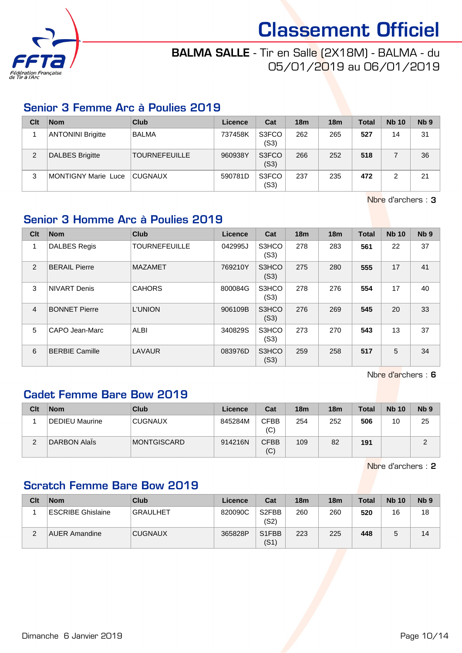

# BALMA SALLE - Tir en Salle (2X18M) - BALMA - du 05/01/2019 au 06/01/2019

#### Senior 3 Femme Arc à Poulies 2019

| Clt | <b>Nom</b>               | <b>Club</b>          | Licence | Cat           | 18 <sub>m</sub> | 18 <sub>m</sub> | Total | <b>Nb 10</b> | N <sub>b</sub> <sub>9</sub> |
|-----|--------------------------|----------------------|---------|---------------|-----------------|-----------------|-------|--------------|-----------------------------|
|     | <b>ANTONINI Brigitte</b> | <b>BALMA</b>         | 737458K | S3FCO<br>(S3) | 262             | 265             | 527   | 14           | 31                          |
| 2   | DALBES Brigitte          | <b>TOURNEFEUILLE</b> | 960938Y | S3FCO<br>(S3) | 266             | 252             | 518   |              | 36                          |
| 3   | MONTIGNY Marie Luce      | CUGNAUX              | 590781D | S3FCO<br>(S3) | 237             | 235             | 472   |              | 21                          |

Nbre d'archers : 3

### Senior 3 Homme Arc à Poulies 2019

| Clt            | <b>Nom</b>            | <b>Club</b>          | Licence | Cat           | 18 <sub>m</sub> | 18 <sub>m</sub> | <b>Total</b> | <b>Nb 10</b> | N <sub>b</sub> <sub>9</sub> |
|----------------|-----------------------|----------------------|---------|---------------|-----------------|-----------------|--------------|--------------|-----------------------------|
| 1              | <b>DALBES Regis</b>   | <b>TOURNEFEUILLE</b> | 042995J | S3HCO<br>(S3) | 278             | 283             | 561          | 22           | 37                          |
| $\overline{2}$ | <b>BERAIL Pierre</b>  | <b>MAZAMET</b>       | 769210Y | S3HCO<br>(S3) | 275             | 280             | 555          | 17           | 41                          |
| 3              | <b>NIVART Denis</b>   | <b>CAHORS</b>        | 800084G | S3HCO<br>(S3) | 278             | 276             | 554          | 17           | 40                          |
| $\overline{4}$ | <b>BONNET Pierre</b>  | <b>L'UNION</b>       | 906109B | S3HCO<br>(S3) | 276             | 269             | 545          | 20           | 33                          |
| 5              | CAPO Jean-Marc        | ALBI                 | 340829S | S3HCO<br>(S3) | 273             | 270             | 543          | 13           | 37                          |
| 6              | <b>BERBIE Camille</b> | LAVAUR               | 083976D | S3HCO<br>(S3) | 259             | 258             | 517          | 5            | 34                          |

Nbre d'archers : 6

#### Cadet Femme Bare Bow 2019

| Clt    | <b>Nom</b>          | Club        | Licence | Cat                | 18 <sub>m</sub> | 18 <sub>m</sub> | <b>Total</b> | <b>Nb 10</b> | N <sub>b</sub> <sub>9</sub> |
|--------|---------------------|-------------|---------|--------------------|-----------------|-----------------|--------------|--------------|-----------------------------|
|        | DEDIEU Maurine      | CUGNAUX     | 845284M | <b>CFBB</b><br>(C) | 254             | 252             | 506          | 10           | 25                          |
| ⌒<br>∠ | <b>DARBON AlaÏs</b> | MONTGISCARD | 914216N | <b>CFBB</b><br>(C) | 109             | 82              | 191          |              |                             |

Nbre d'archers : 2

#### Scratch Femme Bare Bow 2019

| Clt | <b>Nom</b>           | Club            | Licence | Cat                        | 18 <sub>m</sub> | 18 <sub>m</sub> | <b>Total</b> | <b>Nb 10</b> | N <sub>b</sub> <sub>9</sub> |
|-----|----------------------|-----------------|---------|----------------------------|-----------------|-----------------|--------------|--------------|-----------------------------|
|     | ESCRIBE Ghislaine    | <b>GRAULHET</b> | 820090C | S <sub>2</sub> FBB<br>(S2) | 260             | 260             | 520          | 16           | 18                          |
| ⌒   | <b>AUER Amandine</b> | <b>CUGNAUX</b>  | 365828P | S1FBB<br>(S1)              | 223             | 225             | 448          |              | 14                          |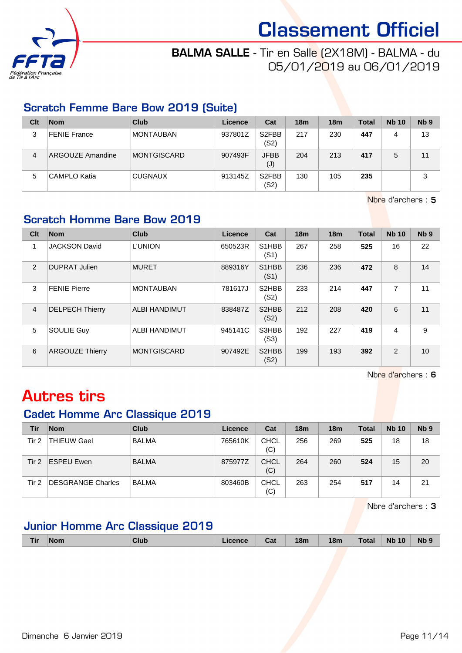

# BALMA SALLE - Tir en Salle (2X18M) - BALMA - du 05/01/2019 au 06/01/2019

#### Scratch Femme Bare Bow 2019 (Suite)

| Clt | <b>Nom</b>          | Club             | Licence | Cat                        | 18 <sub>m</sub> | 18 <sub>m</sub> | <b>Total</b> | <b>Nb 10</b> | N <sub>b</sub> <sub>9</sub> |
|-----|---------------------|------------------|---------|----------------------------|-----------------|-----------------|--------------|--------------|-----------------------------|
| 3   | <b>FENIE France</b> | <b>MONTAUBAN</b> | 937801Z | S <sub>2</sub> FBB<br>(S2) | 217             | 230             | 447          | 4            | 13                          |
| 4   | ARGOUZE Amandine    | MONTGISCARD      | 907493F | <b>JFBB</b><br>(J)         | 204             | 213             | 417          |              | 11                          |
| 5   | CAMPLO Katia        | <b>CUGNAUX</b>   | 913145Z | S <sub>2</sub> FBB<br>(S2) | 130             | 105             | 235          |              | 3                           |

Nbre d'archers : 5

# Scratch Homme Bare Bow 2019

| Clt            | <b>Nom</b>             | <b>Club</b>          | <b>Licence</b> | Cat                                     | 18 <sub>m</sub> | 18m | <b>Total</b> | <b>Nb 10</b> | N <sub>b</sub> <sub>9</sub> |
|----------------|------------------------|----------------------|----------------|-----------------------------------------|-----------------|-----|--------------|--------------|-----------------------------|
| 1              | <b>JACKSON David</b>   | <b>L'UNION</b>       | 650523R        | S <sub>1</sub> HBB<br>(S1)              | 267             | 258 | 525          | 16           | 22                          |
| 2              | <b>DUPRAT Julien</b>   | <b>MURET</b>         | 889316Y        | S <sub>1</sub> H <sub>B</sub> B<br>(S1) | 236             | 236 | 472          | 8            | 14                          |
| 3              | <b>FENIE Pierre</b>    | <b>MONTAUBAN</b>     | 781617J        | S2HBB<br>(S2)                           | 233             | 214 | 447          | 7            | 11                          |
| $\overline{4}$ | <b>DELPECH Thierry</b> | <b>ALBI HANDIMUT</b> | 838487Z        | S2HBB<br>(S2)                           | 212             | 208 | 420          | 6            | 11                          |
| 5              | <b>SOULIE Guy</b>      | ALBI HANDIMUT        | 945141C        | S3HBB<br>(S3)                           | 192             | 227 | 419          | 4            | 9                           |
| 6              | <b>ARGOUZE Thierry</b> | <b>MONTGISCARD</b>   | 907492E        | S2HBB<br>(S2)                           | 199             | 193 | 392          | 2            | 10                          |

Nbre d'archers : 6

# Autres tirs

#### Cadet Homme Arc Classique 2019

| Tir   | <b>Nom</b>               | Club         | Licence | Cat                | 18 <sub>m</sub> | 18 <sub>m</sub> | <b>Total</b> | <b>Nb 10</b> | Nb <sub>9</sub> |
|-------|--------------------------|--------------|---------|--------------------|-----------------|-----------------|--------------|--------------|-----------------|
| Tir 2 | <b>THIEUW Gael</b>       | <b>BALMA</b> | 765610K | <b>CHCL</b><br>(C) | 256             | 269             | 525          | 18           | 18              |
| Tir 2 | <b>ESPEU Ewen</b>        | <b>BALMA</b> | 875977Z | <b>CHCL</b><br>(C) | 264             | 260             | 524          | 15           | 20              |
| Tir 2 | <b>DESGRANGE Charles</b> | <b>BALMA</b> | 803460B | <b>CHCL</b><br>(C) | 263             | 254             | 517          | 14           | 21              |

Nbre d'archers : 3

### Junior Homme Arc Classique 2019

| Tir | <b>Nom</b> | Club | .icence | Cat | 18m | 18m | <b>Total</b> | <b>Nb 10</b> | <b>Nb</b> |
|-----|------------|------|---------|-----|-----|-----|--------------|--------------|-----------|
|     |            |      |         |     |     |     |              |              |           |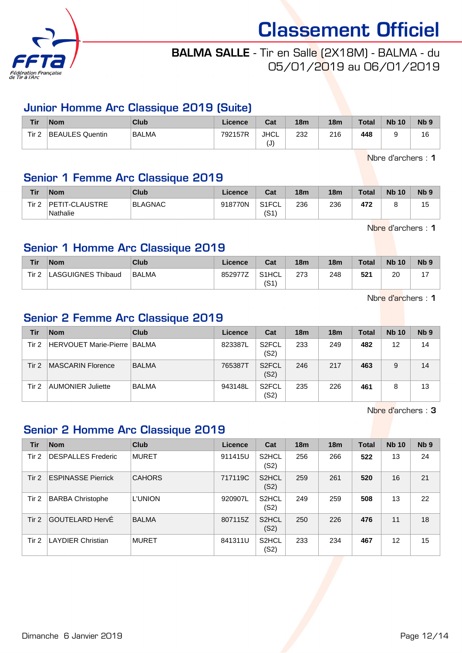

# BALMA SALLE - Tir en Salle (2X18M) - BALMA - du 05/01/2019 au 06/01/2019

#### Junior Homme Arc Classique 2019 (Suite)

| <b>Tir</b>       | <b>Nom</b>      | Club         | Licence | Cat                               | 18 <sub>m</sub> | 18 <sub>m</sub> | <b>Total</b> | <b>Nb 10</b> | Nb <sub>5</sub> |
|------------------|-----------------|--------------|---------|-----------------------------------|-----------------|-----------------|--------------|--------------|-----------------|
| Tir <sub>2</sub> | BEAULES Quentin | <b>BALMA</b> | 792157R | <b>JHCL</b><br>$\mathbf{I}$<br>ι∪ | 232             | 216             | 448          |              | 16              |

Nbre d'archers : 1

#### Senior 1 Femme Arc Classique 2019

| <b>Tir</b> | <b>Nom</b>                 | <b>Club</b>    | Licence | Cat           | 18 <sub>m</sub> | 18 <sub>m</sub> | <b>Total</b> | <b>Nb 10</b> | N <sub>b</sub> <sub>9</sub> |
|------------|----------------------------|----------------|---------|---------------|-----------------|-----------------|--------------|--------------|-----------------------------|
| Tir 2      | PETIT-CLAUSTRE<br>Nathalie | <b>BLAGNAC</b> | 918770N | S1FCL<br>(S1) | 236             | 236             | 472          |              | 15                          |

Nbre d'archers : 1

#### Senior 1 Homme Arc Classique 2019

| Tir   | <b>Nom</b>         | Club         | Licence | Cat                        | 18 <sub>m</sub> | 18 <sub>m</sub> | <b>Total</b> | <b>Nb 10</b> | N <sub>b</sub> <sub>9</sub> |
|-------|--------------------|--------------|---------|----------------------------|-----------------|-----------------|--------------|--------------|-----------------------------|
| Tir 2 | LASGUIGNES Thibaud | <b>BALMA</b> | 852977Z | S <sub>1</sub> HCL<br>(S1) | 273             | 248             | 521          | 20           |                             |

Nbre d'archers : 1

# Senior 2 Femme Arc Classique 2019

| Tir   | <b>Nom</b>                    | Club         | Licence | Cat                        | 18 <sub>m</sub> | 18 <sub>m</sub> | Total | <b>Nb 10</b> | N <sub>b</sub> <sub>9</sub> |
|-------|-------------------------------|--------------|---------|----------------------------|-----------------|-----------------|-------|--------------|-----------------------------|
| Tir 2 | HERVOUET Marie-Pierre   BALMA |              | 823387L | S <sub>2</sub> FCL<br>(S2) | 233             | 249             | 482   | 12           | 14                          |
| Tir 2 | MASCARIN Florence             | <b>BALMA</b> | 765387T | S <sub>2</sub> FCL<br>(S2) | 246             | 217             | 463   | 9            | 14                          |
| Tir 2 | AUMONIER Juliette             | <b>BALMA</b> | 943148L | S <sub>2</sub> FCL<br>(S2) | 235             | 226             | 461   | 8            | 13                          |

Nbre d'archers : 3

### Senior 2 Homme Arc Classique 2019

| Tir   | <b>Nom</b>                | Club           | Licence | Cat                        | 18 <sub>m</sub> | 18 <sub>m</sub> | <b>Total</b> | <b>Nb 10</b> | N <sub>b</sub> <sub>9</sub> |
|-------|---------------------------|----------------|---------|----------------------------|-----------------|-----------------|--------------|--------------|-----------------------------|
| Tir 2 | <b>DESPALLES Frederic</b> | <b>MURET</b>   | 911415U | S <sub>2</sub> HCL<br>(S2) | 256             | 266             | 522          | 13           | 24                          |
| Tir 2 | <b>ESPINASSE Pierrick</b> | <b>CAHORS</b>  | 717119C | S <sub>2</sub> HCL<br>(S2) | 259             | 261             | 520          | 16           | 21                          |
| Tir 2 | <b>BARBA Christophe</b>   | <b>L'UNION</b> | 920907L | S <sub>2</sub> HCL<br>(S2) | 249             | 259             | 508          | 13           | 22                          |
| Tir 2 | GOUTELARD HervÉ           | <b>BALMA</b>   | 807115Z | S <sub>2</sub> HCL<br>(S2) | 250             | 226             | 476          | 11           | 18                          |
| Tir 2 | <b>LAYDIER Christian</b>  | <b>MURET</b>   | 841311U | S <sub>2</sub> HCL<br>(S2) | 233             | 234             | 467          | 12           | 15                          |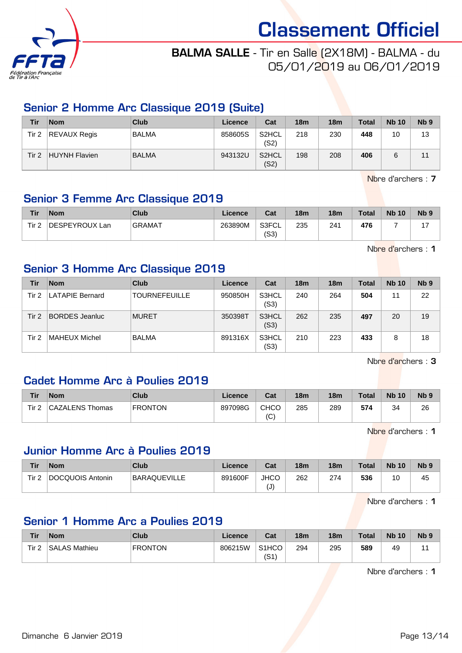

# BALMA SALLE - Tir en Salle (2X18M) - BALMA - du 05/01/2019 au 06/01/2019

#### Senior 2 Homme Arc Classique 2019 (Suite)

| Tir   | <b>Nom</b>          | <b>Club</b>  | Licence | Cat                        | 18 <sub>m</sub> | 18 <sub>m</sub> | <b>Total</b> | <b>Nb 10</b> | N <sub>b</sub> <sub>9</sub> |
|-------|---------------------|--------------|---------|----------------------------|-----------------|-----------------|--------------|--------------|-----------------------------|
| Tir 2 | <b>REVAUX Regis</b> | <b>BALMA</b> | 858605S | S <sub>2</sub> HCL<br>(S2) | 218             | 230             | 448          | 10           | 13                          |
| Tir 2 | HUYNH Flavien       | <b>BALMA</b> | 943132U | S2HCL<br>(S2)              | 198             | 208             | 406          |              |                             |

Nbre d'archers : 7

# Senior 3 Femme Arc Classique 2019

| Tir   | <b>Nom</b>     | Club          | Licence | Cat           | 18 <sub>m</sub> | 18 <sub>m</sub> | <b>Total</b> | <b>Nb 10</b> | N <sub>b</sub> <sub>9</sub> |
|-------|----------------|---------------|---------|---------------|-----------------|-----------------|--------------|--------------|-----------------------------|
| Tir 2 | DESPEYROUX Lan | <b>GRAMAT</b> | 263890M | S3FCL<br>(S3) | 235             | 241             | 476          |              |                             |

Nbre d'archers : 1

### Senior 3 Homme Arc Classique 2019

| Tir   | <b>Nom</b>             | Club                 | Licence | Cat           | 18 <sub>m</sub> | 18 <sub>m</sub> | <b>Total</b> | <b>Nb 10</b> | N <sub>b</sub> <sub>9</sub> |
|-------|------------------------|----------------------|---------|---------------|-----------------|-----------------|--------------|--------------|-----------------------------|
| Tir 2 | <b>LATAPIE Bernard</b> | <b>TOURNEFEUILLE</b> | 950850H | S3HCL<br>(S3) | 240             | 264             | 504          | 11           | 22                          |
| Tir 2 | <b>BORDES</b> Jeanluc  | <b>MURET</b>         | 350398T | S3HCL<br>(S3) | 262             | 235             | 497          | 20           | 19                          |
| Tir 2 | ⊺MAHEUX Michel         | <b>BALMA</b>         | 891316X | S3HCL<br>(S3) | 210             | 223             | 433          | 8            | 18                          |

Nbre d'archers : 3

### Cadet Homme Arc à Poulies 2019

| Tir   | <b>Nom</b>      | <b>Club</b>    | Licence | Cat        | 18 <sub>m</sub> | 18 <sub>m</sub> | <b>Total</b> | <b>Nb 10</b> | N <sub>b</sub> <sub>9</sub> |
|-------|-----------------|----------------|---------|------------|-----------------|-----------------|--------------|--------------|-----------------------------|
| Tir 2 | CAZALENS Thomas | <b>FRONTON</b> | 897098G | CHCO<br>(C | 285             | 289             | 574          | 34           | 26                          |

Nbre d'archers : 1

#### Junior Homme Arc à Poulies 2019

| Tir   | <b>Nom</b>       | Club                | Licence | Cat               | 18 <sub>m</sub> | 18 <sub>m</sub> | <b>Total</b> | <b>Nb 10</b> | N <sub>b</sub> <sub>9</sub> |
|-------|------------------|---------------------|---------|-------------------|-----------------|-----------------|--------------|--------------|-----------------------------|
| Tir 2 | DOCQUOIS Antonin | <b>BARAQUEVILLE</b> | 891600F | <b>JHCO</b><br>ι∪ | 262             | 274             | 536          | 10           | 45                          |

Nbre d'archers : 1

#### Senior 1 Homme Arc a Poulies 2019

| Tir              | <b>Nom</b>           | Club           | Licence | Cat                        | 18 <sub>m</sub> | 18 <sub>m</sub> | Total | <b>Nb 10</b> | N <sub>b</sub> <sub>9</sub> |
|------------------|----------------------|----------------|---------|----------------------------|-----------------|-----------------|-------|--------------|-----------------------------|
| Tir <sub>2</sub> | <b>SALAS Mathieu</b> | <b>FRONTON</b> | 806215W | S <sub>1</sub> HCO<br>(S1) | 294             | 295             | 589   | 49           |                             |

Nbre d'archers : 1